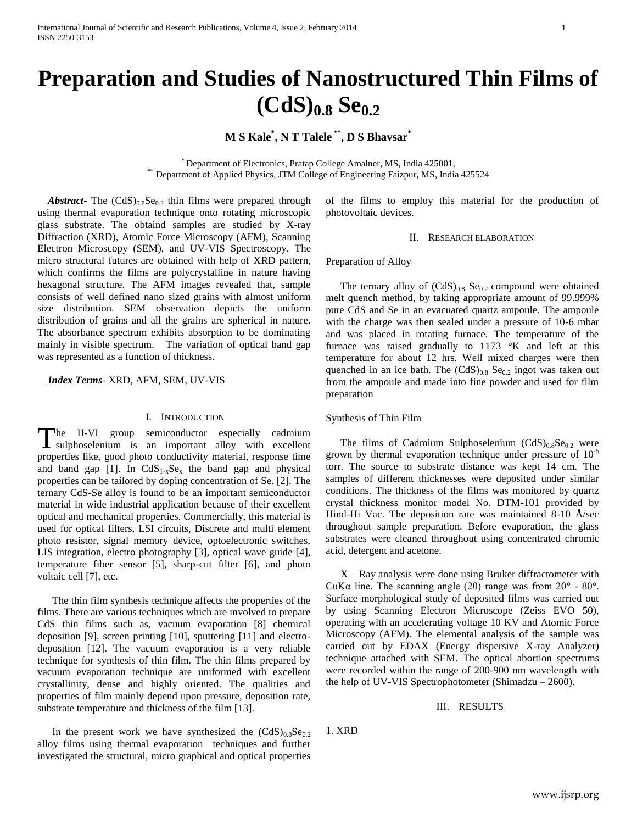# **Preparation and Studies of Nanostructured Thin Films of (CdS)0.8 Se0.2**

## **M S Kale\* , N T Talele \*\* , D S Bhavsar\***

\* Department of Electronics, Pratap College Amalner, MS, India 425001, \*\* Department of Applied Physics, JTM College of Engineering Faizpur, MS, India 425524

*Abstract* - The  $(CdS)_{0.8}Se_{0.2}$  thin films were prepared through using thermal evaporation technique onto rotating microscopic glass substrate. The obtaind samples are studied by X-ray Diffraction (XRD), Atomic Force Microscopy (AFM), Scanning Electron Microscopy (SEM), and UV-VIS Spectroscopy. The micro structural futures are obtained with help of XRD pattern, which confirms the films are polycrystalline in nature having hexagonal structure. The AFM images revealed that, sample consists of well defined nano sized grains with almost uniform size distribution. SEM observation depicts the uniform distribution of grains and all the grains are spherical in nature. The absorbance spectrum exhibits absorption to be dominating mainly in visible spectrum. The variation of optical band gap was represented as a function of thickness.

 *Index Terms*- XRD, AFM, SEM, UV-VIS

#### I. INTRODUCTION

The II-VI group semiconductor especially cadmium The II-VI group semiconductor especially cadmium sulphoselenium is an important alloy with excellent properties like, good photo conductivity material, response time and band gap [1]. In  $CdS<sub>1-x</sub>Se<sub>x</sub>$  the band gap and physical properties can be tailored by doping concentration of Se. [2]. The ternary CdS-Se alloy is found to be an important semiconductor material in wide industrial application because of their excellent optical and mechanical properties. Commercially, this material is used for optical filters, LSI circuits, Discrete and multi element photo resistor, signal memory device, optoelectronic switches, LIS integration, electro photography [3], optical wave guide [4], temperature fiber sensor [5], sharp-cut filter [6], and photo voltaic cell [7], etc.

The thin film synthesis technique affects the properties of the films. There are various techniques which are involved to prepare CdS thin films such as, vacuum evaporation [8] chemical deposition [9], screen printing [10], sputtering [11] and electrodeposition [12]. The vacuum evaporation is a very reliable technique for synthesis of thin film. The thin films prepared by vacuum evaporation technique are uniformed with excellent crystallinity, dense and highly oriented. The qualities and properties of film mainly depend upon pressure, deposition rate, substrate temperature and thickness of the film [13].

In the present work we have synthesized the  $(CdS)_{0.8}Se_{0.2}$ alloy films using thermal evaporation techniques and further investigated the structural, micro graphical and optical properties of the films to employ this material for the production of photovoltaic devices.

II. RESEARCH ELABORATION

#### Preparation of Alloy

The ternary alloy of  $(CdS)_{0.8}$  Se<sub>0.2</sub> compound were obtained melt quench method, by taking appropriate amount of 99.999% pure CdS and Se in an evacuated quartz ampoule. The ampoule with the charge was then sealed under a pressure of 10-6 mbar and was placed in rotating furnace. The temperature of the furnace was raised gradually to  $1173$  °K and left at this temperature for about 12 hrs. Well mixed charges were then quenched in an ice bath. The  $(CdS)_{0.8}$  Se<sub>0.2</sub> ingot was taken out from the ampoule and made into fine powder and used for film preparation

#### Synthesis of Thin Film

The films of Cadmium Sulphoselenium  $(CdS)_{0.8}Se_{0.2}$  were grown by thermal evaporation technique under pressure of  $10^{-5}$ torr. The source to substrate distance was kept 14 cm. The samples of different thicknesses were deposited under similar conditions. The thickness of the films was monitored by quartz crystal thickness monitor model No. DTM-101 provided by Hind-Hi Vac. The deposition rate was maintained 8-10 Å/sec throughout sample preparation. Before evaporation, the glass substrates were cleaned throughout using concentrated chromic acid, detergent and acetone.

 $X - Ray$  analysis were done using Bruker diffractometer with CuKα line. The scanning angle (2θ) range was from  $20^{\circ}$  -  $80^{\circ}$ . Surface morphological study of deposited films was carried out by using Scanning Electron Microscope (Zeiss EVO 50), operating with an accelerating voltage 10 KV and Atomic Force Microscopy (AFM). The elemental analysis of the sample was carried out by EDAX (Energy dispersive X-ray Analyzer) technique attached with SEM. The optical abortion spectrums were recorded within the range of 200-900 nm wavelength with the help of UV-VIS Spectrophotometer (Shimadzu – 2600).

#### III. RESULTS

1. XRD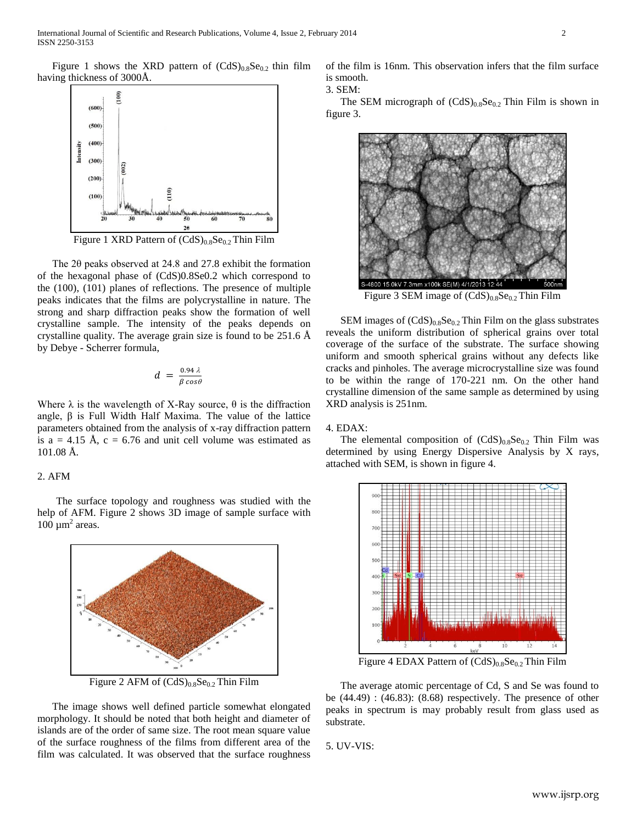Figure 1 shows the XRD pattern of  $(CdS)_{0.8}Se_{0.2}$  thin film having thickness of 3000Å.



Figure 1 XRD Pattern of  $(CdS)_{0.8}Se_{0.2}$  Thin Film

The 2θ peaks observed at 24.8 and 27.8 exhibit the formation of the hexagonal phase of (CdS)0.8Se0.2 which correspond to the (100), (101) planes of reflections. The presence of multiple peaks indicates that the films are polycrystalline in nature. The strong and sharp diffraction peaks show the formation of well crystalline sample. The intensity of the peaks depends on crystalline quality. The average grain size is found to be 251.6 Å by Debye - Scherrer formula,

$$
d = \frac{0.94 \lambda}{\beta \cos \theta}
$$

Where  $\lambda$  is the wavelength of X-Ray source,  $\theta$  is the diffraction angle, β is Full Width Half Maxima. The value of the lattice parameters obtained from the analysis of x-ray diffraction pattern is a = 4.15 Å,  $c = 6.76$  and unit cell volume was estimated as 101.08 Å.

### 2. AFM

The surface topology and roughness was studied with the help of AFM. Figure 2 shows 3D image of sample surface with  $100 \mu m^2$  areas.



Figure 2 AFM of  $(CdS)_{0.8}Se_{0.2}$  Thin Film

The image shows well defined particle somewhat elongated morphology. It should be noted that both height and diameter of islands are of the order of same size. The root mean square value of the surface roughness of the films from different area of the film was calculated. It was observed that the surface roughness

of the film is 16nm. This observation infers that the film surface is smooth.

3. SEM:

The SEM micrograph of  $(CdS)_{0.8}Se_{0.2}$  Thin Film is shown in figure 3.



Figure 3 SEM image of  $(CdS)_{0.8}Se_{0.2}$  Thin Film

SEM images of  $(CdS)_{0.8}Se_{0.2}$  Thin Film on the glass substrates reveals the uniform distribution of spherical grains over total coverage of the surface of the substrate. The surface showing uniform and smooth spherical grains without any defects like cracks and pinholes. The average microcrystalline size was found to be within the range of 170-221 nm. On the other hand crystalline dimension of the same sample as determined by using XRD analysis is 251nm.

#### 4. EDAX:

The elemental composition of  $(CdS)_{0.8}Se_{0.2}$  Thin Film was determined by using Energy Dispersive Analysis by X rays, attached with SEM, is shown in figure 4.



Figure 4 EDAX Pattern of  $(CdS)_{0.8}Se_{0.2}$  Thin Film

The average atomic percentage of Cd, S and Se was found to be (44.49) : (46.83): (8.68) respectively. The presence of other peaks in spectrum is may probably result from glass used as substrate.

5. UV-VIS: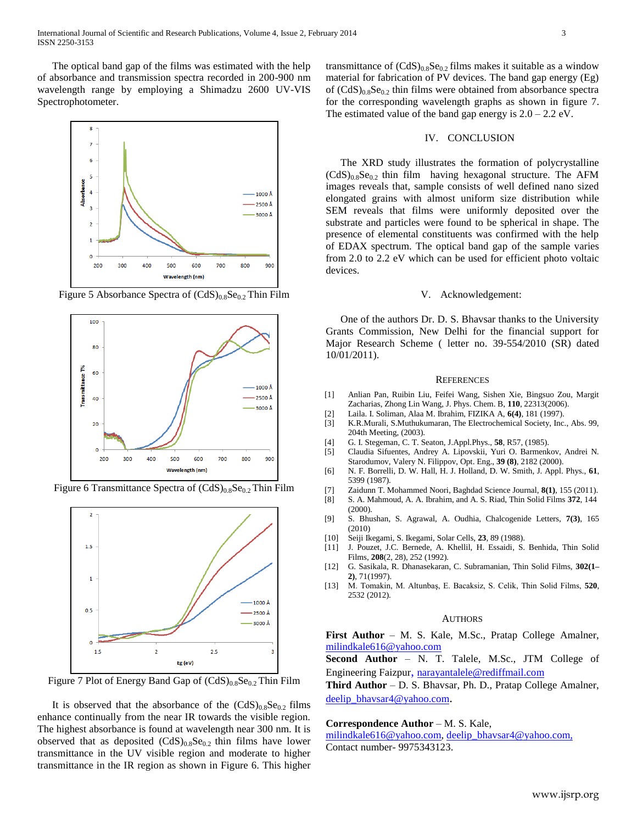The optical band gap of the films was estimated with the help of absorbance and transmission spectra recorded in 200-900 nm wavelength range by employing a Shimadzu 2600 UV-VIS Spectrophotometer.



Figure 5 Absorbance Spectra of  $(CdS)_{0.8}Se_{0.2}$  Thin Film



Figure 6 Transmittance Spectra of  $(CdS)_{0.8}Se_{0.2}$  Thin Film



Figure 7 Plot of Energy Band Gap of  $(CdS)_{0.8}Se_{0.2}$  Thin Film

It is observed that the absorbance of the  $(CdS)_{0.8}Se_{0.2}$  films enhance continually from the near IR towards the visible region. The highest absorbance is found at wavelength near 300 nm. It is observed that as deposited  $(CdS)_{0.8}Se_{0.2}$  thin films have lower transmittance in the UV visible region and moderate to higher transmittance in the IR region as shown in Figure 6. This higher transmittance of  $(CdS)_{0.8}Se_{0.2}$  films makes it suitable as a window material for fabrication of PV devices. The band gap energy (Eg) of  $(CdS)_{0.8}Se_{0.2}$  thin films were obtained from absorbance spectra for the corresponding wavelength graphs as shown in figure 7. The estimated value of the band gap energy is  $2.0 - 2.2$  eV.

#### IV. CONCLUSION

The XRD study illustrates the formation of polycrystalline  $(CdS)_{0.8}Se_{0.2}$  thin film having hexagonal structure. The AFM images reveals that, sample consists of well defined nano sized elongated grains with almost uniform size distribution while SEM reveals that films were uniformly deposited over the substrate and particles were found to be spherical in shape. The presence of elemental constituents was confirmed with the help of EDAX spectrum. The optical band gap of the sample varies from 2.0 to 2.2 eV which can be used for efficient photo voltaic devices.

#### V. Acknowledgement:

One of the authors Dr. D. S. Bhavsar thanks to the University Grants Commission, New Delhi for the financial support for Major Research Scheme ( letter no. 39-554/2010 (SR) dated 10/01/2011).

#### **REFERENCES**

- [1] Anlian Pan, Ruibin Liu, Feifei Wang, Sishen Xie, Bingsuo Zou, Margit Zacharias, Zhong Lin Wang, J. Phys. Chem. B, **110**, 22313(2006).
- [2] Laila. I. Soliman, Alaa M. Ibrahim, FIZIKA A, **6(4)**, 181 (1997).
- [3] K.R.Murali, S.Muthukumaran, The Electrochemical Society, Inc., Abs. 99, 204th Meeting, (2003).
- [4] G. I. Stegeman, C. T. Seaton, J.Appl.Phys., **58**, R57, (1985).
- [5] Claudia Sifuentes, Andrey A. Lipovskii, Yuri O. Barmenkov, Andrei N. Starodumov, Valery N. Filippov, Opt. Eng., **39 (8)**, 2182 (2000).
- [6] N. F. Borrelli, D. W. Hall, H. J. Holland, D. W. Smith, J. Appl. Phys., **61**, 5399 (1987).
- [7] Zaidunn T. Mohammed Noori, Baghdad Science Journal, **8(1)**, 155 (2011).
- [8] S. A. Mahmoud, A. A. Ibrahim, and A. S. Riad, Thin Solid Films **372**, 144  $(2000)$ .
- [9] S. Bhushan, S. Agrawal, A. Oudhia, Chalcogenide Letters, **7(3)**, 165 (2010)
- [10] Seiji Ikegami, S. Ikegami, Solar Cells, **23**, 89 (1988).
- [11] J. Pouzet, J.C. Bernede, A. Khellil, H. Essaidi, S. Benhida, Thin Solid Films, **208**(2, 28), 252 (1992).
- [12] G. Sasikala, R. Dhanasekaran, C. Subramanian, Thin Solid Films, **302(1– 2)**, 71(1997).
- [13] M. Tomakin, M. Altunbaş, E. Bacaksiz, S. Celik, Thin Solid Films, **520**, 2532 (2012).

#### AUTHORS

**First Author** – M. S. Kale, M.Sc., Pratap College Amalner, [milindkale616@yahoo.com](mailto:milindkale616@yahoo.com)

**Second Author** – N. T. Talele, M.Sc., JTM College of Engineering Faizpur, [narayantalele@rediffmail.com](mailto:narayantalele@rediffmail.com)

**Third Author** – D. S. Bhavsar, Ph. D., Pratap College Amalner, [deelip\\_bhavsar4@yahoo.com](https://in-mg61.mail.yahoo.com/compose?to=deelip_bhavsar4@yahoo.com).

#### **Correspondence Author** – M. S. Kale,

[milindkale616@yahoo.com,](mailto:milindkale616@yahoo.com) [deelip\\_bhavsar4@yahoo.com,](https://in-mg61.mail.yahoo.com/compose?to=deelip_bhavsar4@yahoo.com) Contact number- 9975343123.